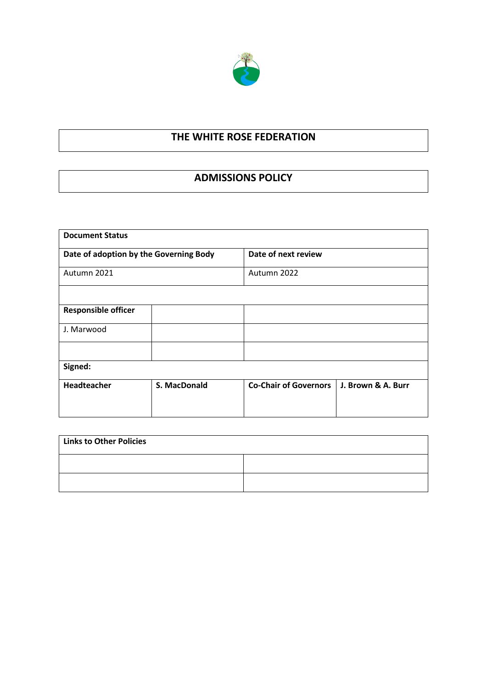

# **THE WHITE ROSE FEDERATION**

# **ADMISSIONS POLICY**

| <b>Document Status</b>                 |              |                              |                    |
|----------------------------------------|--------------|------------------------------|--------------------|
| Date of adoption by the Governing Body |              | Date of next review          |                    |
| Autumn 2021                            |              | Autumn 2022                  |                    |
|                                        |              |                              |                    |
| <b>Responsible officer</b>             |              |                              |                    |
| J. Marwood                             |              |                              |                    |
|                                        |              |                              |                    |
| Signed:                                |              |                              |                    |
| Headteacher                            | S. MacDonald | <b>Co-Chair of Governors</b> | J. Brown & A. Burr |

| <b>Links to Other Policies</b> |  |  |
|--------------------------------|--|--|
|                                |  |  |
|                                |  |  |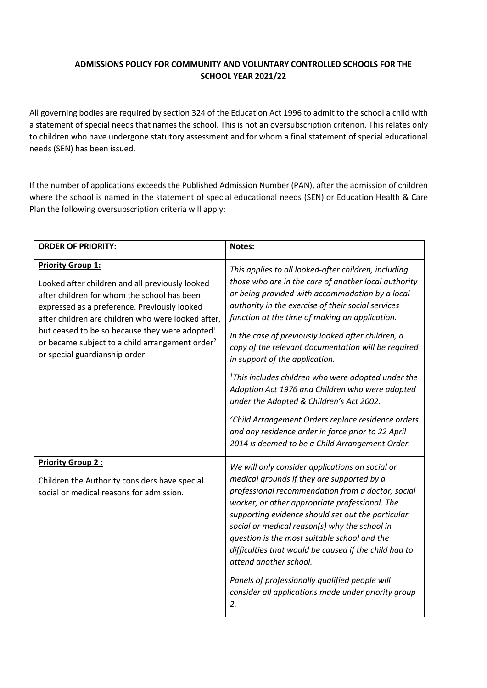## **ADMISSIONS POLICY FOR COMMUNITY AND VOLUNTARY CONTROLLED SCHOOLS FOR THE SCHOOL YEAR 2021/22**

All governing bodies are required by section 324 of the Education Act 1996 to admit to the school a child with a statement of special needs that names the school. This is not an oversubscription criterion. This relates only to children who have undergone statutory assessment and for whom a final statement of special educational needs (SEN) has been issued.

If the number of applications exceeds the Published Admission Number (PAN), after the admission of children where the school is named in the statement of special educational needs (SEN) or Education Health & Care Plan the following oversubscription criteria will apply:

| <b>ORDER OF PRIORITY:</b>                                                                                                                                                                                                                                                                                                                                                                       | Notes:                                                                                                                                                                                                                                                                                                                                                                                                                                                                                                                                                                                                                                                                                                                                                    |
|-------------------------------------------------------------------------------------------------------------------------------------------------------------------------------------------------------------------------------------------------------------------------------------------------------------------------------------------------------------------------------------------------|-----------------------------------------------------------------------------------------------------------------------------------------------------------------------------------------------------------------------------------------------------------------------------------------------------------------------------------------------------------------------------------------------------------------------------------------------------------------------------------------------------------------------------------------------------------------------------------------------------------------------------------------------------------------------------------------------------------------------------------------------------------|
| <b>Priority Group 1:</b><br>Looked after children and all previously looked<br>after children for whom the school has been<br>expressed as a preference. Previously looked<br>after children are children who were looked after,<br>but ceased to be so because they were adopted <sup>1</sup><br>or became subject to a child arrangement order <sup>2</sup><br>or special guardianship order. | This applies to all looked-after children, including<br>those who are in the care of another local authority<br>or being provided with accommodation by a local<br>authority in the exercise of their social services<br>function at the time of making an application.<br>In the case of previously looked after children, a<br>copy of the relevant documentation will be required<br>in support of the application.<br>$1$ This includes children who were adopted under the<br>Adoption Act 1976 and Children who were adopted<br>under the Adopted & Children's Act 2002.<br><sup>2</sup> Child Arrangement Orders replace residence orders<br>and any residence order in force prior to 22 April<br>2014 is deemed to be a Child Arrangement Order. |
| <b>Priority Group 2:</b><br>Children the Authority considers have special<br>social or medical reasons for admission.                                                                                                                                                                                                                                                                           | We will only consider applications on social or<br>medical grounds if they are supported by a<br>professional recommendation from a doctor, social<br>worker, or other appropriate professional. The<br>supporting evidence should set out the particular<br>social or medical reason(s) why the school in<br>question is the most suitable school and the<br>difficulties that would be caused if the child had to<br>attend another school.<br>Panels of professionally qualified people will<br>consider all applications made under priority group<br>2.                                                                                                                                                                                              |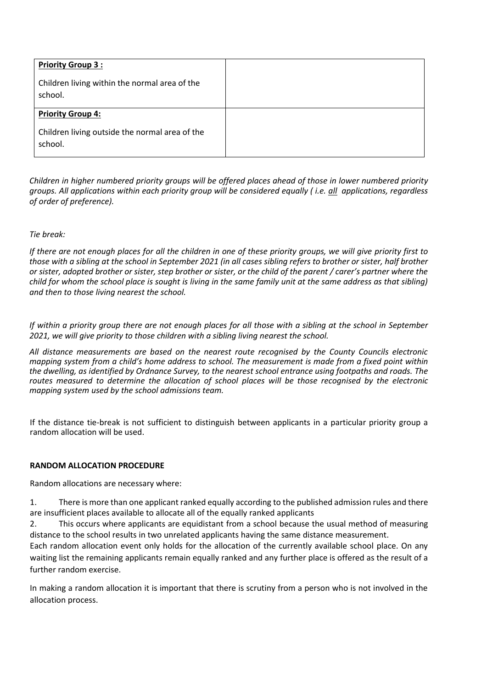| <b>Priority Group 3:</b>                                  |  |
|-----------------------------------------------------------|--|
| Children living within the normal area of the<br>school.  |  |
| <b>Priority Group 4:</b>                                  |  |
| Children living outside the normal area of the<br>school. |  |

*Children in higher numbered priority groups will be offered places ahead of those in lower numbered priority groups. All applications within each priority group will be considered equally ( i.e. all applications, regardless of order of preference).* 

### *Tie break:*

*If there are not enough places for all the children in one of these priority groups, we will give priority first to those with a sibling at the school in September 2021 (in all cases sibling refers to brother or sister, half brother or sister, adopted brother or sister, step brother or sister, or the child of the parent / carer's partner where the child for whom the school place is sought is living in the same family unit at the same address as that sibling) and then to those living nearest the school.*

*If within a priority group there are not enough places for all those with a sibling at the school in September 2021, we will give priority to those children with a sibling living nearest the school.*

*All distance measurements are based on the nearest route recognised by the County Councils electronic mapping system from a child's home address to school. The measurement is made from a fixed point within the dwelling, as identified by Ordnance Survey, to the nearest school entrance using footpaths and roads. The routes measured to determine the allocation of school places will be those recognised by the electronic mapping system used by the school admissions team.*

If the distance tie-break is not sufficient to distinguish between applicants in a particular priority group a random allocation will be used.

### **RANDOM ALLOCATION PROCEDURE**

Random allocations are necessary where:

1. There is more than one applicant ranked equally according to the published admission rules and there are insufficient places available to allocate all of the equally ranked applicants

2. This occurs where applicants are equidistant from a school because the usual method of measuring distance to the school results in two unrelated applicants having the same distance measurement.

Each random allocation event only holds for the allocation of the currently available school place. On any waiting list the remaining applicants remain equally ranked and any further place is offered as the result of a further random exercise.

In making a random allocation it is important that there is scrutiny from a person who is not involved in the allocation process.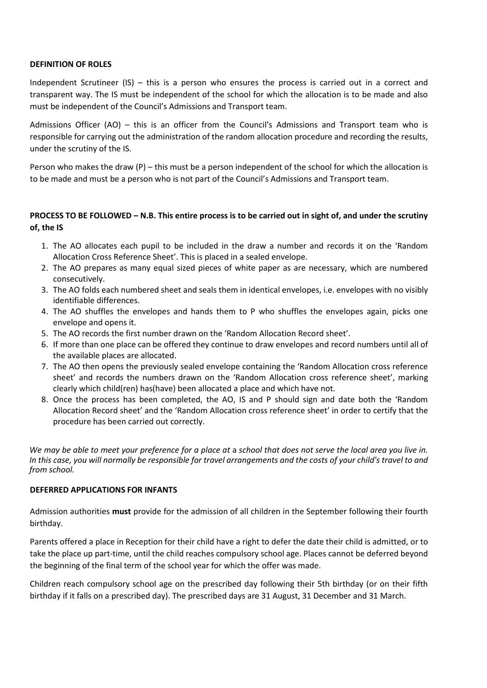#### **DEFINITION OF ROLES**

Independent Scrutineer (IS) – this is a person who ensures the process is carried out in a correct and transparent way. The IS must be independent of the school for which the allocation is to be made and also must be independent of the Council's Admissions and Transport team.

Admissions Officer (AO) – this is an officer from the Council's Admissions and Transport team who is responsible for carrying out the administration of the random allocation procedure and recording the results, under the scrutiny of the IS.

Person who makes the draw (P) – this must be a person independent of the school for which the allocation is to be made and must be a person who is not part of the Council's Admissions and Transport team.

## **PROCESS TO BE FOLLOWED – N.B. This entire process is to be carried out in sight of, and under the scrutiny of, the IS**

- 1. The AO allocates each pupil to be included in the draw a number and records it on the 'Random Allocation Cross Reference Sheet'. This is placed in a sealed envelope.
- 2. The AO prepares as many equal sized pieces of white paper as are necessary, which are numbered consecutively.
- 3. The AO folds each numbered sheet and seals them in identical envelopes, i.e. envelopes with no visibly identifiable differences.
- 4. The AO shuffles the envelopes and hands them to P who shuffles the envelopes again, picks one envelope and opens it.
- 5. The AO records the first number drawn on the 'Random Allocation Record sheet'.
- 6. If more than one place can be offered they continue to draw envelopes and record numbers until all of the available places are allocated.
- 7. The AO then opens the previously sealed envelope containing the 'Random Allocation cross reference sheet' and records the numbers drawn on the 'Random Allocation cross reference sheet', marking clearly which child(ren) has(have) been allocated a place and which have not.
- 8. Once the process has been completed, the AO, IS and P should sign and date both the 'Random Allocation Record sheet' and the 'Random Allocation cross reference sheet' in order to certify that the procedure has been carried out correctly.

*We may be able to meet your preference for a place at* a *school that does not serve the local area you live in. In this case, you will normally be responsible for travel arrangements and the costs of your child's travel to and from school.*

### **DEFERRED APPLICATIONS FOR INFANTS**

Admission authorities **must** provide for the admission of all children in the September following their fourth birthday.

Parents offered a place in Reception for their child have a right to defer the date their child is admitted, or to take the place up part-time, until the child reaches compulsory school age. Places cannot be deferred beyond the beginning of the final term of the school year for which the offer was made.

Children reach compulsory school age on the prescribed day following their 5th birthday (or on their fifth birthday if it falls on a prescribed day). The prescribed days are 31 August, 31 December and 31 March.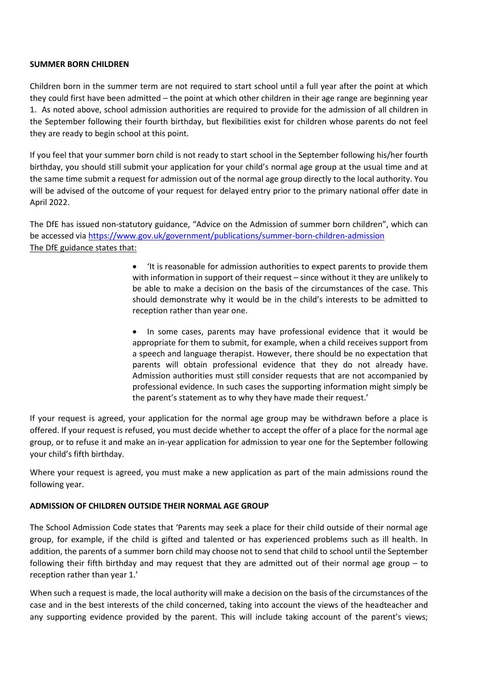#### **SUMMER BORN CHILDREN**

Children born in the summer term are not required to start school until a full year after the point at which they could first have been admitted – the point at which other children in their age range are beginning year 1. As noted above, school admission authorities are required to provide for the admission of all children in the September following their fourth birthday, but flexibilities exist for children whose parents do not feel they are ready to begin school at this point.

If you feel that your summer born child is not ready to start school in the September following his/her fourth birthday, you should still submit your application for your child's normal age group at the usual time and at the same time submit a request for admission out of the normal age group directly to the local authority. You will be advised of the outcome of your request for delayed entry prior to the primary national offer date in April 2022.

The DfE has issued non-statutory guidance, "Advice on the Admission of summer born children", which can be accessed via<https://www.gov.uk/government/publications/summer-born-children-admission> The DfE guidance states that:

> • 'It is reasonable for admission authorities to expect parents to provide them with information in support of their request – since without it they are unlikely to be able to make a decision on the basis of the circumstances of the case. This should demonstrate why it would be in the child's interests to be admitted to reception rather than year one.

> • In some cases, parents may have professional evidence that it would be appropriate for them to submit, for example, when a child receives support from a speech and language therapist. However, there should be no expectation that parents will obtain professional evidence that they do not already have. Admission authorities must still consider requests that are not accompanied by professional evidence. In such cases the supporting information might simply be the parent's statement as to why they have made their request.'

If your request is agreed, your application for the normal age group may be withdrawn before a place is offered. If your request is refused, you must decide whether to accept the offer of a place for the normal age group, or to refuse it and make an in-year application for admission to year one for the September following your child's fifth birthday.

Where your request is agreed, you must make a new application as part of the main admissions round the following year.

### **ADMISSION OF CHILDREN OUTSIDE THEIR NORMAL AGE GROUP**

The School Admission Code states that 'Parents may seek a place for their child outside of their normal age group, for example, if the child is gifted and talented or has experienced problems such as ill health. In addition, the parents of a summer born child may choose not to send that child to school until the September following their fifth birthday and may request that they are admitted out of their normal age group – to reception rather than year 1.'

When such a request is made, the local authority will make a decision on the basis of the circumstances of the case and in the best interests of the child concerned, taking into account the views of the headteacher and any supporting evidence provided by the parent. This will include taking account of the parent's views;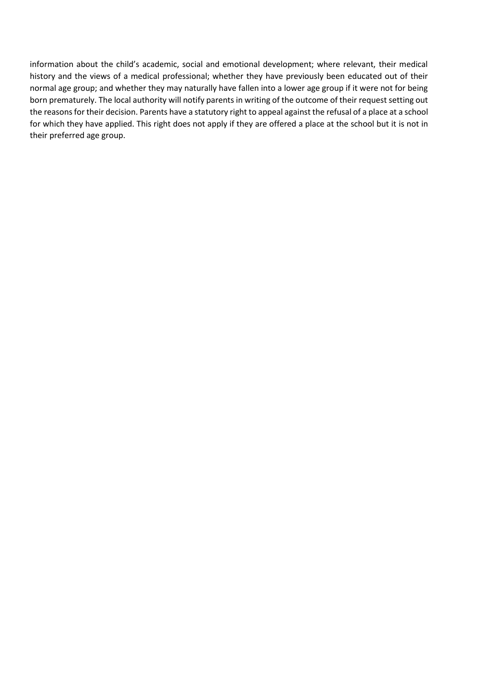information about the child's academic, social and emotional development; where relevant, their medical history and the views of a medical professional; whether they have previously been educated out of their normal age group; and whether they may naturally have fallen into a lower age group if it were not for being born prematurely. The local authority will notify parents in writing of the outcome of their request setting out the reasons for their decision. Parents have a statutory right to appeal against the refusal of a place at a school for which they have applied. This right does not apply if they are offered a place at the school but it is not in their preferred age group.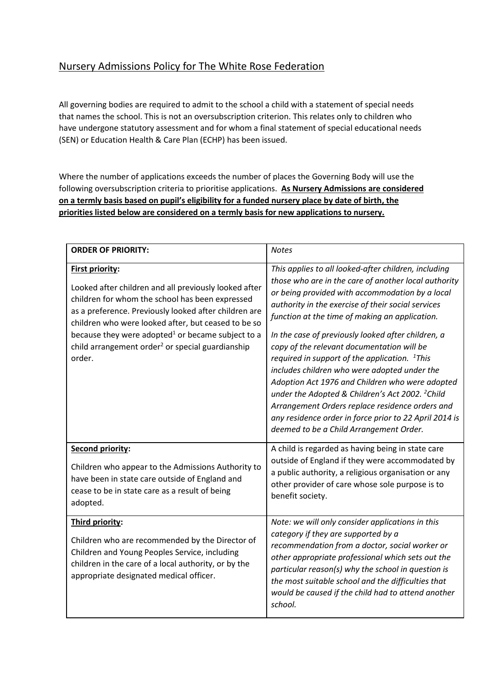# Nursery Admissions Policy for The White Rose Federation

All governing bodies are required to admit to the school a child with a statement of special needs that names the school. This is not an oversubscription criterion. This relates only to children who have undergone statutory assessment and for whom a final statement of special educational needs (SEN) or Education Health & Care Plan (ECHP) has been issued.

Where the number of applications exceeds the number of places the Governing Body will use the following oversubscription criteria to prioritise applications. **As Nursery Admissions are considered on a termly basis based on pupil's eligibility for a funded nursery place by date of birth, the priorities listed below are considered on a termly basis for new applications to nursery.**

| <b>ORDER OF PRIORITY:</b>                                                                                                                                                                                                                                                                                                                                                            | <b>Notes</b>                                                                                                                                                                                                                                                                                                                                                                                                                                                                                                                                                                                                                                                                                                                                                   |
|--------------------------------------------------------------------------------------------------------------------------------------------------------------------------------------------------------------------------------------------------------------------------------------------------------------------------------------------------------------------------------------|----------------------------------------------------------------------------------------------------------------------------------------------------------------------------------------------------------------------------------------------------------------------------------------------------------------------------------------------------------------------------------------------------------------------------------------------------------------------------------------------------------------------------------------------------------------------------------------------------------------------------------------------------------------------------------------------------------------------------------------------------------------|
| <b>First priority:</b><br>Looked after children and all previously looked after<br>children for whom the school has been expressed<br>as a preference. Previously looked after children are<br>children who were looked after, but ceased to be so<br>because they were adopted $1$ or became subject to a<br>child arrangement order <sup>2</sup> or special guardianship<br>order. | This applies to all looked-after children, including<br>those who are in the care of another local authority<br>or being provided with accommodation by a local<br>authority in the exercise of their social services<br>function at the time of making an application.<br>In the case of previously looked after children, a<br>copy of the relevant documentation will be<br>required in support of the application. ${}^{1}$ This<br>includes children who were adopted under the<br>Adoption Act 1976 and Children who were adopted<br>under the Adopted & Children's Act 2002. <sup>2</sup> Child<br>Arrangement Orders replace residence orders and<br>any residence order in force prior to 22 April 2014 is<br>deemed to be a Child Arrangement Order. |
| <b>Second priority:</b><br>Children who appear to the Admissions Authority to<br>have been in state care outside of England and<br>cease to be in state care as a result of being<br>adopted.                                                                                                                                                                                        | A child is regarded as having being in state care<br>outside of England if they were accommodated by<br>a public authority, a religious organisation or any<br>other provider of care whose sole purpose is to<br>benefit society.                                                                                                                                                                                                                                                                                                                                                                                                                                                                                                                             |
| Third priority:<br>Children who are recommended by the Director of<br>Children and Young Peoples Service, including<br>children in the care of a local authority, or by the<br>appropriate designated medical officer.                                                                                                                                                               | Note: we will only consider applications in this<br>category if they are supported by a<br>recommendation from a doctor, social worker or<br>other appropriate professional which sets out the<br>particular reason(s) why the school in question is<br>the most suitable school and the difficulties that<br>would be caused if the child had to attend another<br>school.                                                                                                                                                                                                                                                                                                                                                                                    |